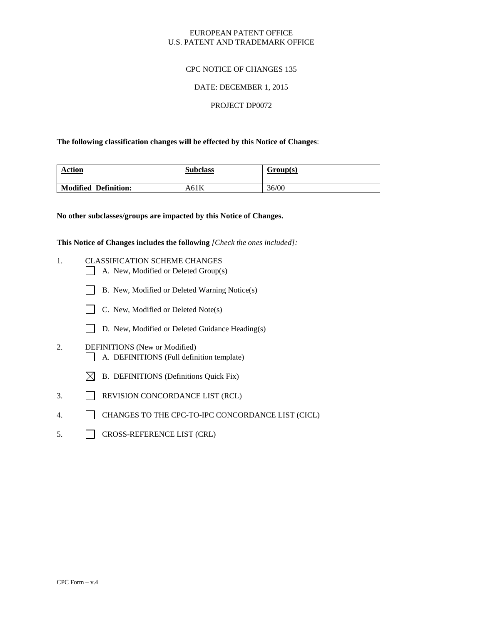# EUROPEAN PATENT OFFICE U.S. PATENT AND TRADEMARK OFFICE

# CPC NOTICE OF CHANGES 135

## DATE: DECEMBER 1, 2015

## PROJECT DP0072

## **The following classification changes will be effected by this Notice of Changes**:

| <b>Action</b>        | <b>Subclass</b> | Group(s) |
|----------------------|-----------------|----------|
| Modified Definition: | A61 $K$         | 36/00    |

#### **No other subclasses/groups are impacted by this Notice of Changes.**

**This Notice of Changes includes the following** *[Check the ones included]:*

- 1. CLASSIFICATION SCHEME CHANGES
	- A. New, Modified or Deleted Group(s)
	- B. New, Modified or Deleted Warning Notice(s)
	- C. New, Modified or Deleted Note(s)
	- D. New, Modified or Deleted Guidance Heading(s)
- 2. DEFINITIONS (New or Modified) A. DEFINITIONS (Full definition template)
	- $\boxtimes$  B. DEFINITIONS (Definitions Quick Fix)
- 3. REVISION CONCORDANCE LIST (RCL)
- 4. CHANGES TO THE CPC-TO-IPC CONCORDANCE LIST (CICL)
- 5. CROSS-REFERENCE LIST (CRL)